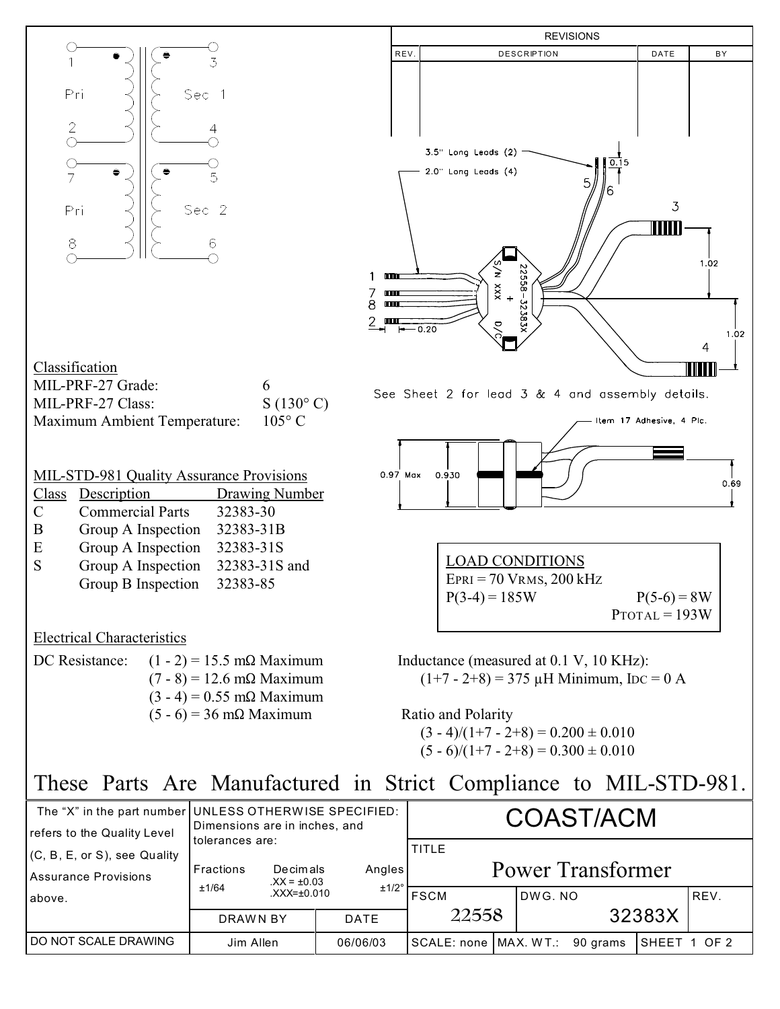

| refers to the Quality Level   | Dimensions are in inches, and |                                                  |                 | <u>UUNU HAUM</u>                  |                                  |        |               |  |      |
|-------------------------------|-------------------------------|--------------------------------------------------|-----------------|-----------------------------------|----------------------------------|--------|---------------|--|------|
| (C, B, E, or S), see Quality  | tolerances are:               |                                                  |                 | TITLE<br><b>Power Transformer</b> |                                  |        |               |  |      |
| Assurance Provisions          | Fractions                     | Decimals<br>$XX = \pm 0.03$<br>$XXX = \pm 0.010$ | Angles<br>±1/2° |                                   |                                  |        |               |  |      |
| above.                        | ±1/64                         |                                                  |                 | FSCM                              |                                  | DWG.NO |               |  | REV. |
|                               | DRAWN BY                      |                                                  | <b>DATE</b>     | 22558                             |                                  | 32383X |               |  |      |
| <b>I DO NOT SCALE DRAWING</b> | Jim Allen                     |                                                  | 06/06/03        |                                   | SCALE: none   MAX. WT.: 90 grams |        | ISHEET 1 OF 2 |  |      |